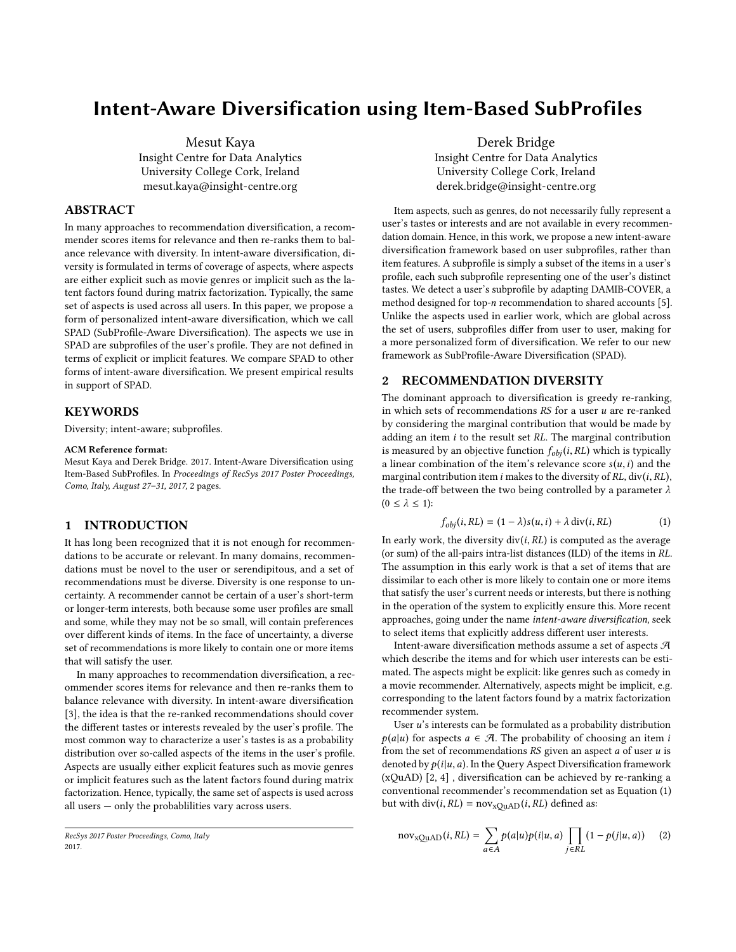# Intent-Aware Diversification using Item-Based SubProfiles

Mesut Kaya

Insight Centre for Data Analytics University College Cork, Ireland mesut.kaya@insight-centre.org

## ABSTRACT

In many approaches to recommendation diversification, a recommender scores items for relevance and then re-ranks them to balance relevance with diversity. In intent-aware diversification, diversity is formulated in terms of coverage of aspects, where aspects are either explicit such as movie genres or implicit such as the latent factors found during matrix factorization. Typically, the same set of aspects is used across all users. In this paper, we propose a form of personalized intent-aware diversification, which we call SPAD (SubProfile-Aware Diversification). The aspects we use in SPAD are subprofiles of the user's profile. They are not defined in terms of explicit or implicit features. We compare SPAD to other forms of intent-aware diversification. We present empirical results in support of SPAD.

#### **KEYWORDS**

Diversity; intent-aware; subprofiles.

#### ACM Reference format:

Mesut Kaya and Derek Bridge. 2017. Intent-Aware Diversification using Item-Based SubProfiles. In Proceedings of RecSys 2017 Poster Proceedings, Como, Italy, August 27–31, 2017, [2](#page-1-0) pages.

#### 1 INTRODUCTION

It has long been recognized that it is not enough for recommendations to be accurate or relevant. In many domains, recommendations must be novel to the user or serendipitous, and a set of recommendations must be diverse. Diversity is one response to uncertainty. A recommender cannot be certain of a user's short-term or longer-term interests, both because some user profiles are small and some, while they may not be so small, will contain preferences over different kinds of items. In the face of uncertainty, a diverse set of recommendations is more likely to contain one or more items that will satisfy the user.

In many approaches to recommendation diversification, a recommender scores items for relevance and then re-ranks them to balance relevance with diversity. In intent-aware diversification [\[3\]](#page-1-1), the idea is that the re-ranked recommendations should cover the different tastes or interests revealed by the user's profile. The most common way to characterize a user's tastes is as a probability distribution over so-called aspects of the items in the user's profile. Aspects are usually either explicit features such as movie genres or implicit features such as the latent factors found during matrix factorization. Hence, typically, the same set of aspects is used across all users — only the probablilities vary across users.

Derek Bridge Insight Centre for Data Analytics University College Cork, Ireland derek.bridge@insight-centre.org

Item aspects, such as genres, do not necessarily fully represent a user's tastes or interests and are not available in every recommendation domain. Hence, in this work, we propose a new intent-aware diversification framework based on user subprofiles, rather than item features. A subprofile is simply a subset of the items in a user's profile, each such subprofile representing one of the user's distinct tastes. We detect a user's subprofile by adapting DAMIB-COVER, a method designed for top-n recommendation to shared accounts [\[5\]](#page-1-2). Unlike the aspects used in earlier work, which are global across the set of users, subprofiles differ from user to user, making for a more personalized form of diversification. We refer to our new framework as SubProfile-Aware Diversification (SPAD).

### 2 RECOMMENDATION DIVERSITY

The dominant approach to diversification is greedy re-ranking, in which sets of recommendations  $RS$  for a user  $u$  are re-ranked by considering the marginal contribution that would be made by adding an item  $i$  to the result set  $RL$ . The marginal contribution is measured by an objective function  $f_{obj}(i, RL)$  which is typically a linear combination of the item's relevance score  $s(u, i)$  and the marginal contribution item i makes to the diversity of  $RL$ , div(i,  $RL$ ), the trade-off between the two being controlled by a parameter  $\lambda$  $(0 \leq \lambda \leq 1)$ :

<span id="page-0-0"></span>
$$
f_{obj}(i, RL) = (1 - \lambda)s(u, i) + \lambda \operatorname{div}(i, RL)
$$
 (1)

In early work, the diversity  $div(i, RL)$  is computed as the average (or sum) of the all-pairs intra-list distances (ILD) of the items in RL. The assumption in this early work is that a set of items that are dissimilar to each other is more likely to contain one or more items that satisfy the user's current needs or interests, but there is nothing in the operation of the system to explicitly ensure this. More recent approaches, going under the name intent-aware diversification, seek to select items that explicitly address different user interests.

Intent-aware diversification methods assume a set of aspects  ${\mathcal{A}}$ which describe the items and for which user interests can be estimated. The aspects might be explicit: like genres such as comedy in a movie recommender. Alternatively, aspects might be implicit, e.g. corresponding to the latent factors found by a matrix factorization recommender system.

User  $u$ 's interests can be formulated as a probability distribution  $p(a|u)$  for aspects  $a \in \mathcal{A}$ . The probability of choosing an item i from the set of recommendations  $RS$  given an aspect  $a$  of user  $u$  is denoted by  $p(i|u, a)$ . In the Query Aspect Diversification framework (xQuAD) [\[2,](#page-1-3) [4\]](#page-1-4) , diversification can be achieved by re-ranking a conventional recommender's recommendation set as Equation [\(1\)](#page-0-0) but with div(i,  $RL$ ) = nov<sub>xQuAD</sub>(i, RL) defined as:

<span id="page-0-1"></span>
$$
nov_{xQuAD}(i,RL) = \sum_{a \in A} p(a|u)p(i|u,a) \prod_{j \in RL} (1 - p(j|u,a)) \quad (2)
$$

RecSys 2017 Poster Proceedings, Como, Italy 2017.